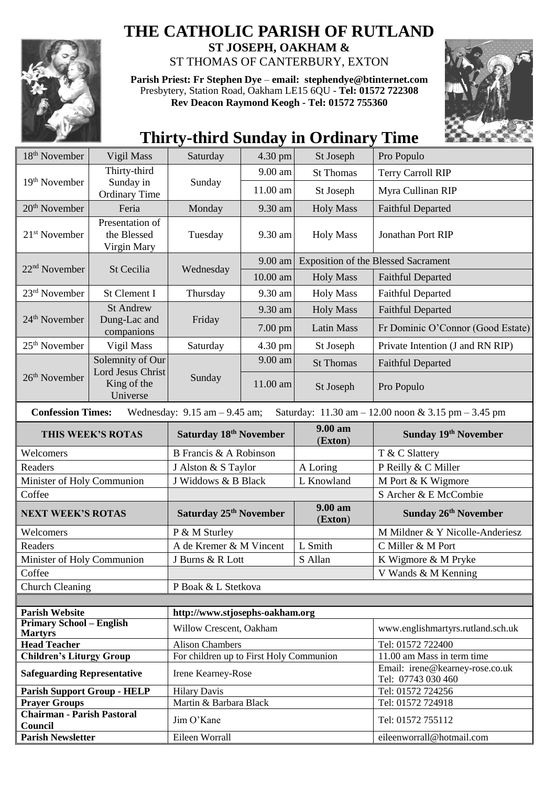

## **THE CATHOLIC PARISH OF RUTLAND**

**ST JOSEPH, OAKHAM &**  ST THOMAS OF CANTERBURY, EXTON

**Parish Priest: Fr Stephen Dye** – **[email: stephendye@btinternet.com](mailto:email:%20%20stephendye@btinternet.com)** Presbytery, Station Road, Oakham LE15 6QU - **Tel: 01572 722308 Rev Deacon Raymond Keogh - Tel: 01572 755360**



## **Thirty-third Sunday in Ordinary Time**

| 18 <sup>th</sup> November                         | Vigil Mass                                          | Saturday                                | 4.30 pm  | St Joseph          | Pro Populo                                                                             |  |  |
|---------------------------------------------------|-----------------------------------------------------|-----------------------------------------|----------|--------------------|----------------------------------------------------------------------------------------|--|--|
|                                                   | Thirty-third                                        |                                         | 9.00 am  | <b>St Thomas</b>   | <b>Terry Carroll RIP</b>                                                               |  |  |
| 19 <sup>th</sup> November                         | Sunday in<br><b>Ordinary Time</b>                   | Sunday                                  | 11.00 am | St Joseph          | Myra Cullinan RIP                                                                      |  |  |
| $20th$ November                                   | Feria                                               | Monday                                  | 9.30 am  | <b>Holy Mass</b>   | <b>Faithful Departed</b>                                                               |  |  |
| $21st$ November                                   | Presentation of<br>the Blessed<br>Virgin Mary       | Tuesday                                 | 9.30 am  | <b>Holy Mass</b>   | Jonathan Port RIP                                                                      |  |  |
|                                                   |                                                     |                                         | 9.00 am  |                    | <b>Exposition of the Blessed Sacrament</b>                                             |  |  |
| $22nd$ November                                   | St Cecilia                                          | Wednesday                               | 10.00 am | <b>Holy Mass</b>   | <b>Faithful Departed</b>                                                               |  |  |
| $23rd$ November                                   | St Clement I                                        | Thursday                                | 9.30 am  | <b>Holy Mass</b>   | <b>Faithful Departed</b>                                                               |  |  |
|                                                   | <b>St Andrew</b>                                    |                                         | 9.30 am  | <b>Holy Mass</b>   | <b>Faithful Departed</b>                                                               |  |  |
| 24 <sup>th</sup> November                         | Dung-Lac and<br>companions                          | Friday                                  | 7.00 pm  | <b>Latin Mass</b>  | Fr Dominic O'Connor (Good Estate)                                                      |  |  |
| $25th$ November                                   | Vigil Mass                                          | Saturday                                | 4.30 pm  | St Joseph          | Private Intention (J and RN RIP)                                                       |  |  |
|                                                   | Solemnity of Our                                    |                                         | 9.00 am  | <b>St Thomas</b>   | <b>Faithful Departed</b>                                                               |  |  |
| 26 <sup>th</sup> November                         | <b>Lord Jesus Christ</b><br>King of the<br>Universe | Sunday                                  | 11.00 am | St Joseph          | Pro Populo                                                                             |  |  |
| <b>Confession Times:</b>                          |                                                     | Wednesday: $9.15$ am $- 9.45$ am;       |          |                    | Saturday: $11.30 \text{ am} - 12.00 \text{ noon} \& 3.15 \text{ pm} - 3.45 \text{ pm}$ |  |  |
|                                                   | THIS WEEK'S ROTAS                                   | Saturday 18 <sup>th</sup> November      |          | 9.00 am<br>(Exton) | Sunday 19th November                                                                   |  |  |
|                                                   |                                                     |                                         |          |                    |                                                                                        |  |  |
| Welcomers                                         |                                                     | B Francis & A Robinson                  |          |                    | T & C Slattery                                                                         |  |  |
| Readers                                           |                                                     | J Alston & S Taylor                     |          | A Loring           | P Reilly & C Miller                                                                    |  |  |
| Minister of Holy Communion                        |                                                     | J Widdows & B Black                     |          | L Knowland         | M Port & K Wigmore                                                                     |  |  |
| Coffee                                            |                                                     |                                         |          |                    | S Archer & E McCombie                                                                  |  |  |
| <b>NEXT WEEK'S ROTAS</b>                          |                                                     | Saturday 25 <sup>th</sup> November      |          | 9.00 am<br>(Exton) | Sunday 26 <sup>th</sup> November                                                       |  |  |
| Welcomers                                         |                                                     | P & M Sturley                           |          |                    | M Mildner & Y Nicolle-Anderiesz                                                        |  |  |
| Readers                                           |                                                     | A de Kremer & M Vincent                 |          | L Smith            | C Miller & M Port                                                                      |  |  |
| Minister of Holy Communion                        |                                                     | J Burns & R Lott                        |          | S Allan            | K Wigmore & M Pryke                                                                    |  |  |
| Coffee                                            |                                                     |                                         |          |                    | V Wands & M Kenning                                                                    |  |  |
| <b>Church Cleaning</b>                            |                                                     | P Boak & L Stetkova                     |          |                    |                                                                                        |  |  |
|                                                   |                                                     |                                         |          |                    |                                                                                        |  |  |
| <b>Parish Website</b>                             |                                                     | http://www.stjosephs-oakham.org         |          |                    |                                                                                        |  |  |
| <b>Primary School - English</b><br><b>Martyrs</b> |                                                     | Willow Crescent, Oakham                 |          |                    | www.englishmartyrs.rutland.sch.uk                                                      |  |  |
| <b>Head Teacher</b>                               |                                                     | <b>Alison Chambers</b>                  |          |                    | Tel: 01572 722400                                                                      |  |  |
| <b>Children's Liturgy Group</b>                   |                                                     | For children up to First Holy Communion |          |                    | 11.00 am Mass in term time                                                             |  |  |
| <b>Safeguarding Representative</b>                |                                                     | Irene Kearney-Rose                      |          |                    | Email: irene@kearney-rose.co.uk<br>Tel: 07743 030 460                                  |  |  |
| <b>Parish Support Group - HELP</b>                |                                                     | <b>Hilary Davis</b>                     |          |                    | Tel: 01572 724256                                                                      |  |  |
| <b>Prayer Groups</b>                              |                                                     | Martin & Barbara Black                  |          |                    | Tel: 01572 724918                                                                      |  |  |
| <b>Chairman - Parish Pastoral</b><br>Council      |                                                     | Jim O'Kane                              |          |                    | Tel: 01572 755112                                                                      |  |  |